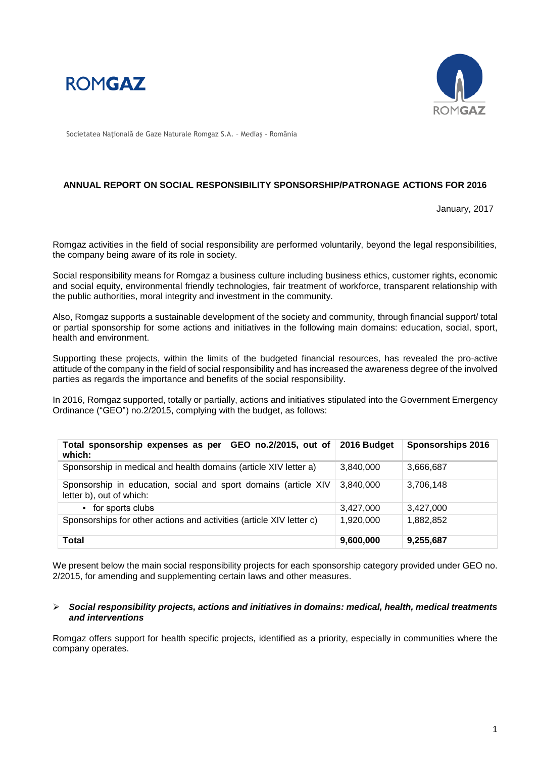



Societatea Naţională de Gaze Naturale Romgaz S.A. – Mediaş - România

### **ANNUAL REPORT ON SOCIAL RESPONSIBILITY SPONSORSHIP/PATRONAGE ACTIONS FOR 2016**

January, 2017

Romgaz activities in the field of social responsibility are performed voluntarily, beyond the legal responsibilities, the company being aware of its role in society.

Social responsibility means for Romgaz a business culture including business ethics, customer rights, economic and social equity, environmental friendly technologies, fair treatment of workforce, transparent relationship with the public authorities, moral integrity and investment in the community.

Also, Romgaz supports a sustainable development of the society and community, through financial support/ total or partial sponsorship for some actions and initiatives in the following main domains: education, social, sport, health and environment.

Supporting these projects, within the limits of the budgeted financial resources, has revealed the pro-active attitude of the company in the field of social responsibility and has increased the awareness degree of the involved parties as regards the importance and benefits of the social responsibility.

In 2016, Romgaz supported, totally or partially, actions and initiatives stipulated into the Government Emergency Ordinance ("GEO") no.2/2015, complying with the budget, as follows:

| Total sponsorship expenses as per GEO no.2/2015, out of 2016 Budget<br>which:               |           | <b>Sponsorships 2016</b> |
|---------------------------------------------------------------------------------------------|-----------|--------------------------|
| Sponsorship in medical and health domains (article XIV letter a)                            | 3,840,000 | 3,666,687                |
| Sponsorship in education, social and sport domains (article XIV<br>letter b), out of which: | 3.840.000 | 3,706,148                |
| • for sports clubs                                                                          | 3,427,000 | 3,427,000                |
| Sponsorships for other actions and activities (article XIV letter c)                        | 1,920,000 | 1,882,852                |
| Total                                                                                       | 9,600,000 | 9,255,687                |

We present below the main social responsibility projects for each sponsorship category provided under GEO no. 2/2015, for amending and supplementing certain laws and other measures.

#### *Social responsibility projects, actions and initiatives in domains: medical, health, medical treatments and interventions*

Romgaz offers support for health specific projects, identified as a priority, especially in communities where the company operates.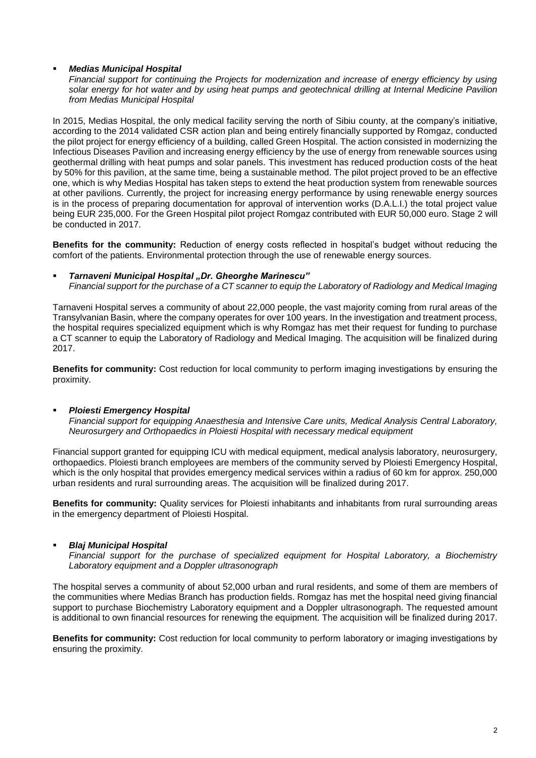## *Medias Municipal Hospital*

*Financial support for continuing the Projects for modernization and increase of energy efficiency by using solar energy for hot water and by using heat pumps and geotechnical drilling at Internal Medicine Pavilion from Medias Municipal Hospital*

In 2015, Medias Hospital, the only medical facility serving the north of Sibiu county, at the company's initiative, according to the 2014 validated CSR action plan and being entirely financially supported by Romgaz, conducted the pilot project for energy efficiency of a building, called Green Hospital. The action consisted in modernizing the Infectious Diseases Pavilion and increasing energy efficiency by the use of energy from renewable sources using geothermal drilling with heat pumps and solar panels. This investment has reduced production costs of the heat by 50% for this pavilion, at the same time, being a sustainable method. The pilot project proved to be an effective one, which is why Medias Hospital has taken steps to extend the heat production system from renewable sources at other pavilions. Currently, the project for increasing energy performance by using renewable energy sources is in the process of preparing documentation for approval of intervention works (D.A.L.I.) the total project value being EUR 235,000. For the Green Hospital pilot project Romgaz contributed with EUR 50,000 euro. Stage 2 will be conducted in 2017.

**Benefits for the community:** Reduction of energy costs reflected in hospital's budget without reducing the comfort of the patients. Environmental protection through the use of renewable energy sources.

### *Tarnaveni Municipal Hospital "Dr. Gheorghe Marinescu"*

*Financial support for the purchase of a CT scanner to equip the Laboratory of Radiology and Medical Imaging*

Tarnaveni Hospital serves a community of about 22,000 people, the vast majority coming from rural areas of the Transylvanian Basin, where the company operates for over 100 years. In the investigation and treatment process, the hospital requires specialized equipment which is why Romgaz has met their request for funding to purchase a CT scanner to equip the Laboratory of Radiology and Medical Imaging. The acquisition will be finalized during 2017.

**Benefits for community:** Cost reduction for local community to perform imaging investigations by ensuring the proximity.

## *Ploiesti Emergency Hospital*

*Financial support for equipping Anaesthesia and Intensive Care units, Medical Analysis Central Laboratory, Neurosurgery and Orthopaedics in Ploiesti Hospital with necessary medical equipment*

Financial support granted for equipping ICU with medical equipment, medical analysis laboratory, neurosurgery, orthopaedics. Ploiesti branch employees are members of the community served by Ploiesti Emergency Hospital, which is the only hospital that provides emergency medical services within a radius of 60 km for approx. 250,000 urban residents and rural surrounding areas. The acquisition will be finalized during 2017.

**Benefits for community:** Quality services for Ploiesti inhabitants and inhabitants from rural surrounding areas in the emergency department of Ploiesti Hospital.

## *Blaj Municipal Hospital*

*Financial support for the purchase of specialized equipment for Hospital Laboratory, a Biochemistry Laboratory equipment and a Doppler ultrasonograph*

The hospital serves a community of about 52,000 urban and rural residents, and some of them are members of the communities where Medias Branch has production fields. Romgaz has met the hospital need giving financial support to purchase Biochemistry Laboratory equipment and a Doppler ultrasonograph. The requested amount is additional to own financial resources for renewing the equipment. The acquisition will be finalized during 2017.

**Benefits for community:** Cost reduction for local community to perform laboratory or imaging investigations by ensuring the proximity.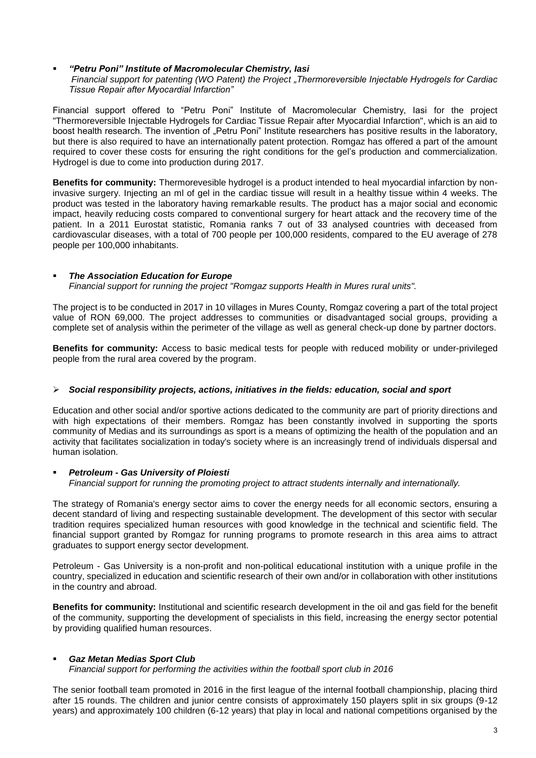*"Petru Poni" Institute of Macromolecular Chemistry, Iasi Financial support for patenting (WO Patent) the Project "Thermoreversible Injectable Hydrogels for Cardiac Tissue Repair after Myocardial Infarction"*

Financial support offered to "Petru Poni" Institute of Macromolecular Chemistry, Iasi for the project "Thermoreversible Injectable Hydrogels for Cardiac Tissue Repair after Myocardial Infarction", which is an aid to boost health research. The invention of "Petru Poni" Institute researchers has positive results in the laboratory, but there is also required to have an internationally patent protection. Romgaz has offered a part of the amount required to cover these costs for ensuring the right conditions for the gel's production and commercialization. Hydrogel is due to come into production during 2017.

**Benefits for community:** Thermorevesible hydrogel is a product intended to heal myocardial infarction by noninvasive surgery. Injecting an ml of gel in the cardiac tissue will result in a healthy tissue within 4 weeks. The product was tested in the laboratory having remarkable results. The product has a major social and economic impact, heavily reducing costs compared to conventional surgery for heart attack and the recovery time of the patient. In a 2011 Eurostat statistic, Romania ranks 7 out of 33 analysed countries with deceased from cardiovascular diseases, with a total of 700 people per 100,000 residents, compared to the EU average of 278 people per 100,000 inhabitants.

### *The Association Education for Europe*

*Financial support for running the project "Romgaz supports Health in Mures rural units".*

The project is to be conducted in 2017 in 10 villages in Mures County, Romgaz covering a part of the total project value of RON 69,000. The project addresses to communities or disadvantaged social groups, providing a complete set of analysis within the perimeter of the village as well as general check-up done by partner doctors.

**Benefits for community:** Access to basic medical tests for people with reduced mobility or under-privileged people from the rural area covered by the program.

### *Social responsibility projects, actions, initiatives in the fields: education, social and sport*

Education and other social and/or sportive actions dedicated to the community are part of priority directions and with high expectations of their members. Romgaz has been constantly involved in supporting the sports community of Medias and its surroundings as sport is a means of optimizing the health of the population and an activity that facilitates socialization in today's society where is an increasingly trend of individuals dispersal and human isolation.

## *Petroleum - Gas University of Ploiesti*

*Financial support for running the promoting project to attract students internally and internationally.*

The strategy of Romania's energy sector aims to cover the energy needs for all economic sectors, ensuring a decent standard of living and respecting sustainable development. The development of this sector with secular tradition requires specialized human resources with good knowledge in the technical and scientific field. The financial support granted by Romgaz for running programs to promote research in this area aims to attract graduates to support energy sector development.

Petroleum - Gas University is a non-profit and non-political educational institution with a unique profile in the country, specialized in education and scientific research of their own and/or in collaboration with other institutions in the country and abroad.

**Benefits for community:** Institutional and scientific research development in the oil and gas field for the benefit of the community, supporting the development of specialists in this field, increasing the energy sector potential by providing qualified human resources.

## *Gaz Metan Medias Sport Club*

*Financial support for performing the activities within the football sport club in 2016* 

The senior football team promoted in 2016 in the first league of the internal football championship, placing third after 15 rounds. The children and junior centre consists of approximately 150 players split in six groups (9-12 years) and approximately 100 children (6-12 years) that play in local and national competitions organised by the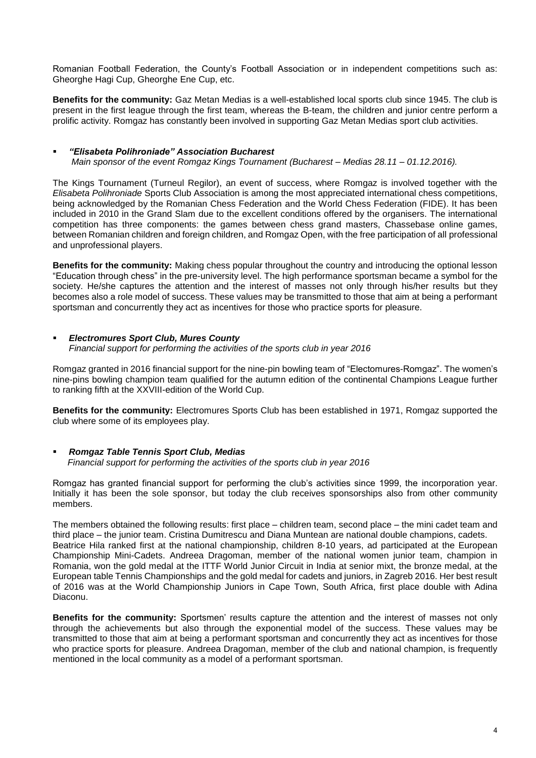Romanian Football Federation, the County's Football Association or in independent competitions such as: Gheorghe Hagi Cup, Gheorghe Ene Cup, etc.

**Benefits for the community:** Gaz Metan Medias is a well-established local sports club since 1945. The club is present in the first league through the first team, whereas the B-team, the children and junior centre perform a prolific activity. Romgaz has constantly been involved in supporting Gaz Metan Medias sport club activities.

### *"Elisabeta Polihroniade" Association Bucharest*

*Main sponsor of the event Romgaz Kings Tournament (Bucharest – Medias 28.11 – 01.12.2016).* 

The Kings Tournament (Turneul Regilor), an event of success, where Romgaz is involved together with the *Elisabeta Polihroniade* Sports Club Association is among the most appreciated international chess competitions, being acknowledged by the Romanian Chess Federation and the World Chess Federation (FIDE). It has been included in 2010 in the Grand Slam due to the excellent conditions offered by the organisers. The international competition has three components: the games between chess grand masters, Chassebase online games, between Romanian children and foreign children, and Romgaz Open, with the free participation of all professional and unprofessional players.

**Benefits for the community:** Making chess popular throughout the country and introducing the optional lesson "Education through chess" in the pre-university level. The high performance sportsman became a symbol for the society. He/she captures the attention and the interest of masses not only through his/her results but they becomes also a role model of success. These values may be transmitted to those that aim at being a performant sportsman and concurrently they act as incentives for those who practice sports for pleasure.

### *Electromures Sport Club, Mures County*

*Financial support for performing the activities of the sports club in year 2016*

Romgaz granted in 2016 financial support for the nine-pin bowling team of "Electomures-Romgaz". The women's nine-pins bowling champion team qualified for the autumn edition of the continental Champions League further to ranking fifth at the XXVIII-edition of the World Cup.

**Benefits for the community:** Electromures Sports Club has been established in 1971, Romgaz supported the club where some of its employees play.

# *Romgaz Table Tennis Sport Club, Medias*

 *Financial support for performing the activities of the sports club in year 2016*

Romgaz has granted financial support for performing the club's activities since 1999, the incorporation year. Initially it has been the sole sponsor, but today the club receives sponsorships also from other community members.

The members obtained the following results: first place – children team, second place – the mini cadet team and third place – the junior team. Cristina Dumitrescu and Diana Muntean are national double champions, cadets. Beatrice Hila ranked first at the national championship, children 8-10 years, ad participated at the European Championship Mini-Cadets. Andreea Dragoman, member of the national women junior team, champion in Romania, won the gold medal at the ITTF World Junior Circuit in India at senior mixt, the bronze medal, at the European table Tennis Championships and the gold medal for cadets and juniors, in Zagreb 2016. Her best result of 2016 was at the World Championship Juniors in Cape Town, South Africa, first place double with Adina Diaconu.

**Benefits for the community:** Sportsmen' results capture the attention and the interest of masses not only through the achievements but also through the exponential model of the success. These values may be transmitted to those that aim at being a performant sportsman and concurrently they act as incentives for those who practice sports for pleasure. Andreea Dragoman, member of the club and national champion, is frequently mentioned in the local community as a model of a performant sportsman.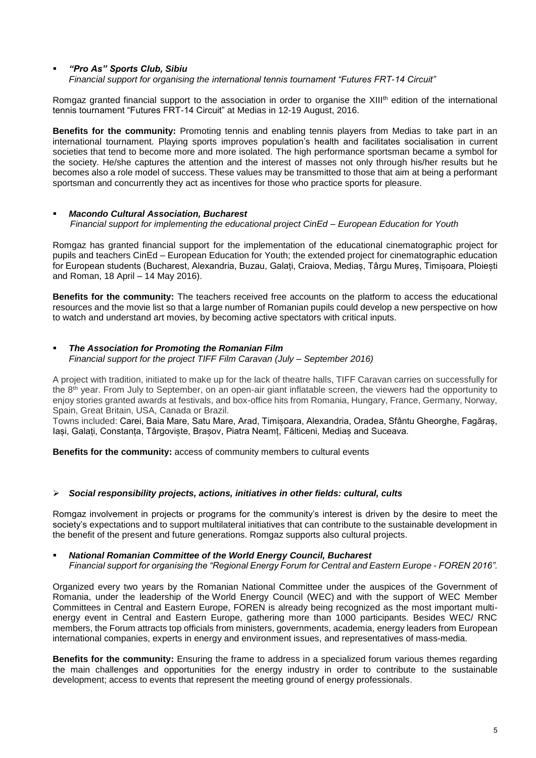## *"Pro As" Sports Club, Sibiu*

*Financial support for organising the international tennis tournament "Futures FRT-14 Circuit"*

Romgaz granted financial support to the association in order to organise the XIII<sup>th</sup> edition of the international tennis tournament "Futures FRT-14 Circuit" at Medias in 12-19 August, 2016.

**Benefits for the community:** Promoting tennis and enabling tennis players from Medias to take part in an international tournament. Playing sports improves population's health and facilitates socialisation in current societies that tend to become more and more isolated. The high performance sportsman became a symbol for the society. He/she captures the attention and the interest of masses not only through his/her results but he becomes also a role model of success. These values may be transmitted to those that aim at being a performant sportsman and concurrently they act as incentives for those who practice sports for pleasure.

### *Macondo Cultural Association, Bucharest*

 *Financial support for implementing the educational project CinEd – European Education for Youth*

Romgaz has granted financial support for the implementation of the educational cinematographic project for pupils and teachers CinEd – European Education for Youth; the extended project for cinematographic education for European students (Bucharest, Alexandria, Buzau, Galați, Craiova, Mediaș, Târgu Mureș, Timișoara, Ploiești and Roman, 18 April – 14 May 2016).

**Benefits for the community:** The teachers received free accounts on the platform to access the educational resources and the movie list so that a large number of Romanian pupils could develop a new perspective on how to watch and understand art movies, by becoming active spectators with critical inputs.

### *The Association for Promoting the Romanian Film Financial support for the project TIFF Film Caravan (July – September 2016)*

A project with tradition, initiated to make up for the lack of theatre halls, TIFF Caravan carries on successfully for the 8<sup>th</sup> year. From July to September, on an open-air giant inflatable screen, the viewers had the opportunity to enjoy stories granted awards at festivals, and box-office hits from Romania, Hungary, France, Germany, Norway, Spain, Great Britain, USA, Canada or Brazil.

Towns included: Carei, Baia Mare, Satu Mare, Arad, Timișoara, Alexandria, Oradea, Sfântu Gheorghe, Fagăraș, Iași, Galați, Constanța, Târgoviște, Brașov, Piatra Neamț, Fălticeni, Mediaș and Suceava.

**Benefits for the community:** access of community members to cultural events

## *Social responsibility projects, actions, initiatives in other fields: cultural, cults*

Romgaz involvement in projects or programs for the community's interest is driven by the desire to meet the society's expectations and to support multilateral initiatives that can contribute to the sustainable development in the benefit of the present and future generations. Romgaz supports also cultural projects.

### *National Romanian Committee of the World Energy Council, Bucharest*

*Financial support for organising the "Regional Energy Forum for Central and Eastern Europe - FOREN 2016".*

Organized every two years by the Romanian National Committee under the auspices of the Government of Romania, under the leadership of the [World Energy Council \(WEC\)](http://www.worldenergy.org/) and with the support of WEC Member Committees in Central and Eastern Europe, FOREN is already being recognized as the most important multienergy event in Central and Eastern Europe, gathering more than 1000 participants. Besides WEC/ RNC members, the Forum attracts top officials from ministers, governments, academia, energy leaders from European international companies, experts in energy and environment issues, and representatives of mass-media.

**Benefits for the community:** Ensuring the frame to address in a specialized forum various themes regarding the main challenges and opportunities for the energy industry in order to contribute to the sustainable development; access to events that represent the meeting ground of energy professionals.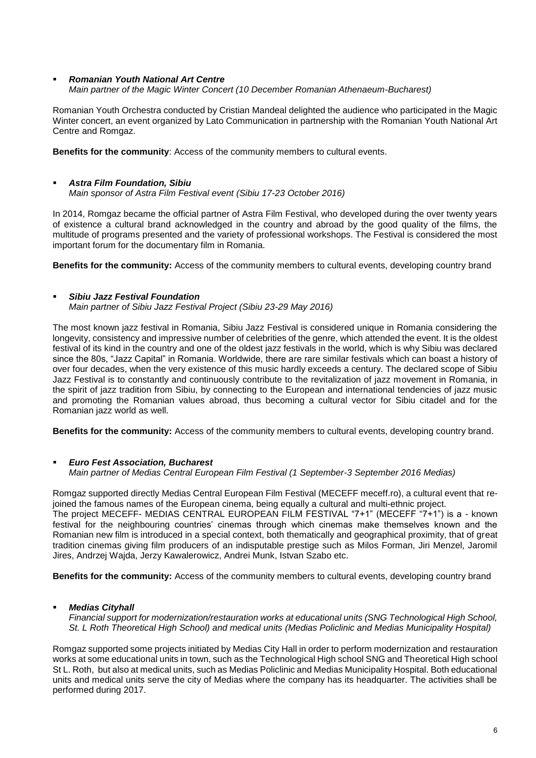#### *Romanian Youth National Art Centre Main partner of the Magic Winter Concert (10 December Romanian Athenaeum-Bucharest)*

Romanian Youth Orchestra conducted by Cristian Mandeal delighted the audience who participated in the Magic Winter concert, an event organized by Lato Communication in partnership with the Romanian Youth National Art Centre and Romgaz.

**Benefits for the community**: Access of the community members to cultural events.

### *Astra Film Foundation, Sibiu Main sponsor of Astra Film Festival event (Sibiu 17-23 October 2016)*

In 2014, Romgaz became the official partner of Astra Film Festival, who developed during the over twenty years of existence a cultural brand acknowledged in the country and abroad by the good quality of the films, the multitude of programs presented and the variety of professional workshops. The Festival is considered the most important forum for the documentary film in Romania.

**Benefits for the community:** Access of the community members to cultural events, developing country brand

## *Sibiu Jazz Festival Foundation*

*Main partner of Sibiu Jazz Festival Project (Sibiu 23-29 May 2016)*

The most known jazz festival in Romania, Sibiu Jazz Festival is considered unique in Romania considering the longevity, consistency and impressive number of celebrities of the genre, which attended the event. It is the oldest festival of its kind in the country and one of the oldest jazz festivals in the world, which is why Sibiu was declared since the 80s, "Jazz Capital" in Romania. Worldwide, there are rare similar festivals which can boast a history of over four decades, when the very existence of this music hardly exceeds a century. The declared scope of Sibiu Jazz Festival is to constantly and continuously contribute to the revitalization of jazz movement in Romania, in the spirit of jazz tradition from Sibiu, by connecting to the European and international tendencies of jazz music and promoting the Romanian values abroad, thus becoming a cultural vector for Sibiu citadel and for the Romanian jazz world as well.

**Benefits for the community:** Access of the community members to cultural events, developing country brand.

## *Euro Fest Association, Bucharest Main partner of Medias Central European Film Festival (1 September-3 September 2016 Medias)*

Romgaz supported directly Medias Central European Film Festival (MECEFF meceff.ro), a cultural event that rejoined the famous names of the European cinema, being equally a cultural and multi-ethnic project. The project MECEFF- MEDIAS CENTRAL EUROPEAN FILM FESTIVAL "7+1" (MECEFF "7+1") is a - known festival for the neighbouring countries' cinemas through which cinemas make themselves known and the Romanian new film is introduced in a special context, both thematically and geographical proximity, that of great tradition cinemas giving film producers of an indisputable prestige such as Milos Forman, Jiri Menzel, Jaromil Jires, Andrzej Wajda, Jerzy Kawalerowicz, Andrei Munk, Istvan Szabo etc.

**Benefits for the community:** Access of the community members to cultural events, developing country brand

## *Medias Cityhall*

*Financial support for modernization/restauration works at educational units (SNG Technological High School, St. L Roth Theoretical High School) and medical units (Medias Policlinic and Medias Municipality Hospital)*

Romgaz supported some projects initiated by Medias City Hall in order to perform modernization and restauration works at some educational units in town, such as the Technological High school SNG and Theoretical High school St L. Roth, but also at medical units, such as Medias Policlinic and Medias Municipality Hospital. Both educational units and medical units serve the city of Medias where the company has its headquarter. The activities shall be performed during 2017.